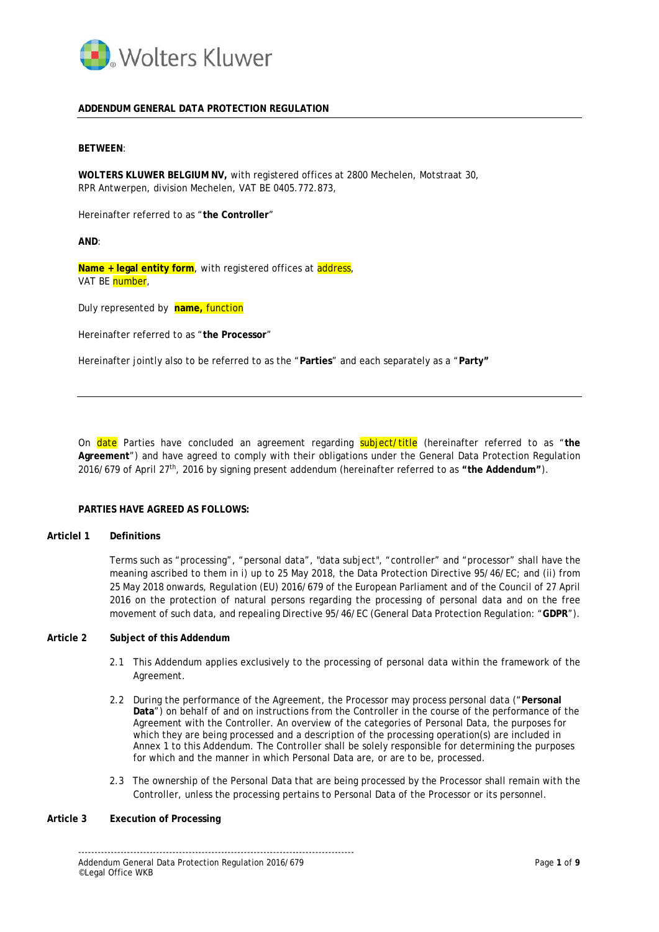

# **ADDENDUM GENERAL DATA PROTECTION REGULATION**

### **BETWEEN**:

**WOLTERS KLUWER BELGIUM NV,** with registered offices at 2800 Mechelen, Motstraat 30, RPR Antwerpen, division Mechelen, VAT BE 0405.772.873,

Hereinafter referred to as "**the Controller**"

**AND**:

Name + legal entity form, with registered offices at address, VAT BE **number**.

Duly represented by **name,** function

Hereinafter referred to as "**the Processor**"

Hereinafter jointly also to be referred to as the "**Parties**" and each separately as a "**Party"**

On date Parties have concluded an agreement regarding subject/title (hereinafter referred to as "**the Agreement**") and have agreed to comply with their obligations under the General Data Protection Regulation 2016/679 of April 27th, 2016 by signing present addendum (hereinafter referred to as **"the Addendum"**).

## **PARTIES HAVE AGREED AS FOLLOWS:**

### **Articlel 1 Definitions**

Terms such as "processing", "personal data", "data subject", "controller" and "processor" shall have the meaning ascribed to them in i) up to 25 May 2018, the Data Protection Directive 95/46/EC; and (ii) from 25 May 2018 onwards, Regulation (EU) 2016/679 of the European Parliament and of the Council of 27 April 2016 on the protection of natural persons regarding the processing of personal data and on the free movement of such data, and repealing Directive 95/46/EC (General Data Protection Regulation: "**GDPR**").

# **Article 2 Subject of this Addendum**

- 2.1 This Addendum applies exclusively to the processing of personal data within the framework of the Agreement.
- 2.2 During the performance of the Agreement, the Processor may process personal data ("**Personal Data**") on behalf of and on instructions from the Controller in the course of the performance of the Agreement with the Controller. An overview of the categories of Personal Data, the purposes for which they are being processed and a description of the processing operation(s) are included in Annex 1 to this Addendum. The Controller shall be solely responsible for determining the purposes for which and the manner in which Personal Data are, or are to be, processed.
- 2.3 The ownership of the Personal Data that are being processed by the Processor shall remain with the Controller, unless the processing pertains to Personal Data of the Processor or its personnel.

# **Article 3 Execution of Processing**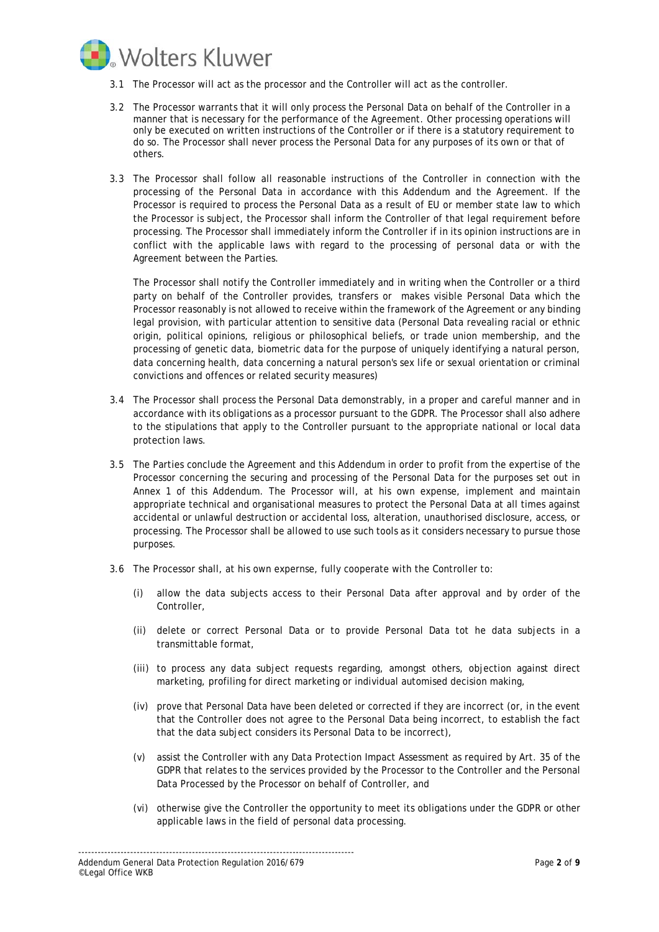

- 3.1 The Processor will act as the processor and the Controller will act as the controller.
- 3.2 The Processor warrants that it will only process the Personal Data on behalf of the Controller in a manner that is necessary for the performance of the Agreement. Other processing operations will only be executed on written instructions of the Controller or if there is a statutory requirement to do so. The Processor shall never process the Personal Data for any purposes of its own or that of others.
- 3.3 The Processor shall follow all reasonable instructions of the Controller in connection with the processing of the Personal Data in accordance with this Addendum and the Agreement. If the Processor is required to process the Personal Data as a result of EU or member state law to which the Processor is subject, the Processor shall inform the Controller of that legal requirement before processing. The Processor shall immediately inform the Controller if in its opinion instructions are in conflict with the applicable laws with regard to the processing of personal data or with the Agreement between the Parties.

The Processor shall notify the Controller immediately and in writing when the Controller or a third party on behalf of the Controller provides, transfers or makes visible Personal Data which the Processor reasonably is not allowed to receive within the framework of the Agreement or any binding legal provision, with particular attention to sensitive data (Personal Data revealing racial or ethnic origin, political opinions, religious or philosophical beliefs, or trade union membership, and the processing of genetic data, biometric data for the purpose of uniquely identifying a natural person, data concerning health, data concerning a natural person's sex life or sexual orientation or criminal convictions and offences or related security measures)

- 3.4 The Processor shall process the Personal Data demonstrably, in a proper and careful manner and in accordance with its obligations as a processor pursuant to the GDPR. The Processor shall also adhere to the stipulations that apply to the Controller pursuant to the appropriate national or local data protection laws.
- 3.5 The Parties conclude the Agreement and this Addendum in order to profit from the expertise of the Processor concerning the securing and processing of the Personal Data for the purposes set out in Annex 1 of this Addendum. The Processor will, at his own expense, implement and maintain appropriate technical and organisational measures to protect the Personal Data at all times against accidental or unlawful destruction or accidental loss, alteration, unauthorised disclosure, access, or processing. The Processor shall be allowed to use such tools as it considers necessary to pursue those purposes.
- 3.6 The Processor shall, at his own expernse, fully cooperate with the Controller to:
	- (i) allow the data subjects access to their Personal Data after approval and by order of the Controller,
	- (ii) delete or correct Personal Data or to provide Personal Data tot he data subjects in a transmittable format,
	- (iii) to process any data subject requests regarding, amongst others, objection against direct marketing, profiling for direct marketing or individual automised decision making,
	- (iv) prove that Personal Data have been deleted or corrected if they are incorrect (or, in the event that the Controller does not agree to the Personal Data being incorrect, to establish the fact that the data subject considers its Personal Data to be incorrect),
	- (v) assist the Controller with any Data Protection Impact Assessment as required by Art. 35 of the GDPR that relates to the services provided by the Processor to the Controller and the Personal Data Processed by the Processor on behalf of Controller, and
	- (vi) otherwise give the Controller the opportunity to meet its obligations under the GDPR or other applicable laws in the field of personal data processing.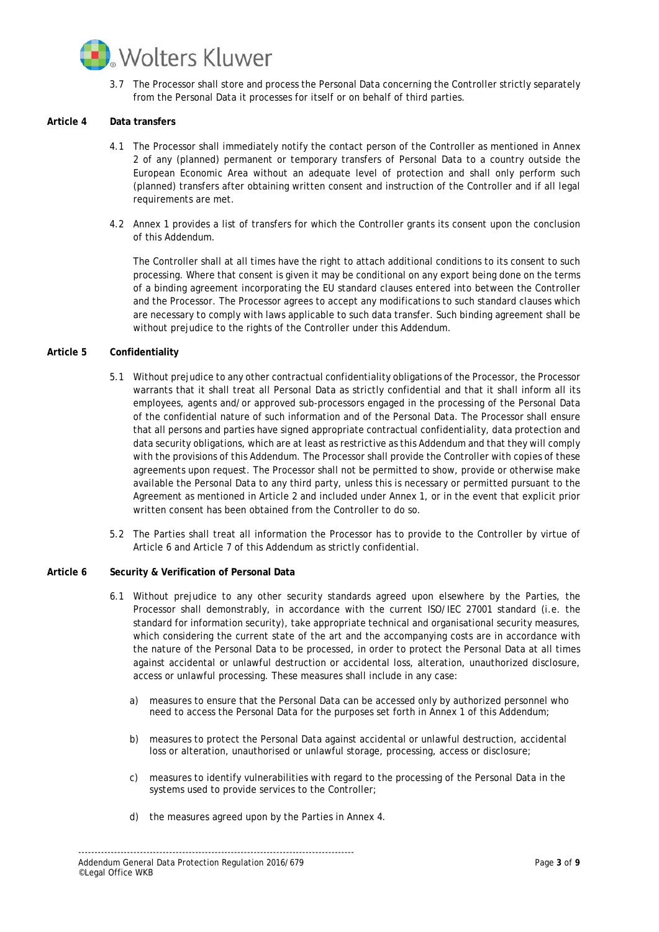

3.7 The Processor shall store and process the Personal Data concerning the Controller strictly separately from the Personal Data it processes for itself or on behalf of third parties.

# **Article 4 Data transfers**

- 4.1 The Processor shall immediately notify the contact person of the Controller as mentioned in Annex 2 of any (planned) permanent or temporary transfers of Personal Data to a country outside the European Economic Area without an adequate level of protection and shall only perform such (planned) transfers after obtaining written consent and instruction of the Controller and if all legal requirements are met.
- 4.2 Annex 1 provides a list of transfers for which the Controller grants its consent upon the conclusion of this Addendum.

The Controller shall at all times have the right to attach additional conditions to its consent to such processing. Where that consent is given it may be conditional on any export being done on the terms of a binding agreement incorporating the EU standard clauses entered into between the Controller and the Processor. The Processor agrees to accept any modifications to such standard clauses which are necessary to comply with laws applicable to such data transfer. Such binding agreement shall be without prejudice to the rights of the Controller under this Addendum.

## **Article 5 Confidentiality**

- 5.1 Without prejudice to any other contractual confidentiality obligations of the Processor, the Processor warrants that it shall treat all Personal Data as strictly confidential and that it shall inform all its employees, agents and/or approved sub-processors engaged in the processing of the Personal Data of the confidential nature of such information and of the Personal Data. The Processor shall ensure that all persons and parties have signed appropriate contractual confidentiality, data protection and data security obligations, which are at least as restrictive as this Addendum and that they will comply with the provisions of this Addendum. The Processor shall provide the Controller with copies of these agreements upon request. The Processor shall not be permitted to show, provide or otherwise make available the Personal Data to any third party, unless this is necessary or permitted pursuant to the Agreement as mentioned in Article 2 and included under Annex 1, or in the event that explicit prior written consent has been obtained from the Controller to do so.
- 5.2 The Parties shall treat all information the Processor has to provide to the Controller by virtue of Article 6 and Article 7 of this Addendum as strictly confidential.

#### **Article 6 Security & Verification of Personal Data**

- 6.1 Without prejudice to any other security standards agreed upon elsewhere by the Parties, the Processor shall demonstrably, in accordance with the current ISO/IEC 27001 standard (i.e. the standard for information security), take appropriate technical and organisational security measures, which considering the current state of the art and the accompanying costs are in accordance with the nature of the Personal Data to be processed, in order to protect the Personal Data at all times against accidental or unlawful destruction or accidental loss, alteration, unauthorized disclosure, access or unlawful processing. These measures shall include in any case:
	- a) measures to ensure that the Personal Data can be accessed only by authorized personnel who need to access the Personal Data for the purposes set forth in Annex 1 of this Addendum;
	- b) measures to protect the Personal Data against accidental or unlawful destruction, accidental loss or alteration, unauthorised or unlawful storage, processing, access or disclosure;
	- c) measures to identify vulnerabilities with regard to the processing of the Personal Data in the systems used to provide services to the Controller;
	- d) the measures agreed upon by the Parties in Annex 4.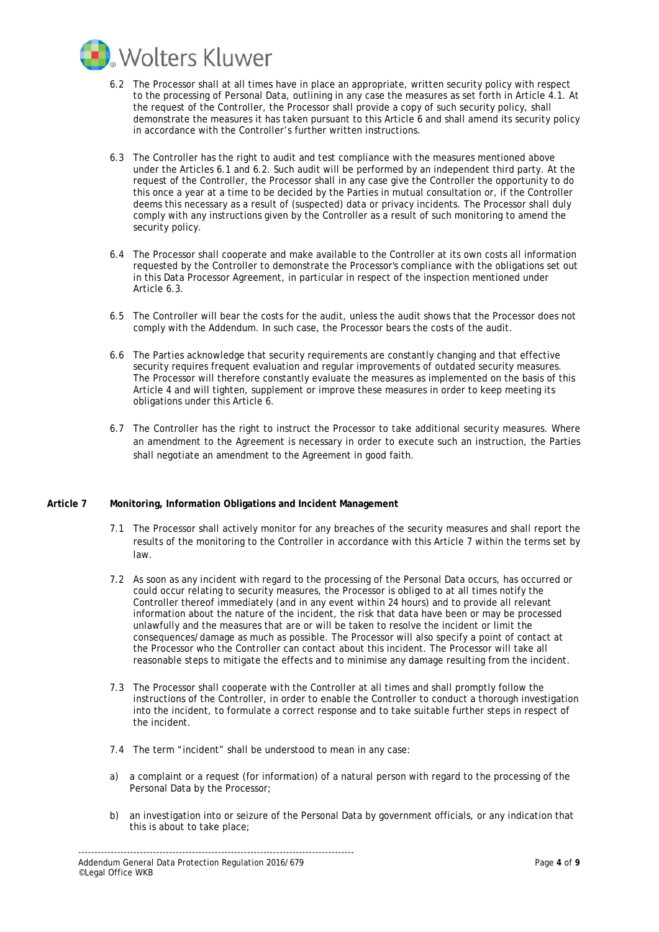

- 6.2 The Processor shall at all times have in place an appropriate, written security policy with respect to the processing of Personal Data, outlining in any case the measures as set forth in Article 4.1. At the request of the Controller, the Processor shall provide a copy of such security policy, shall demonstrate the measures it has taken pursuant to this Article 6 and shall amend its security policy in accordance with the Controller's further written instructions.
- 6.3 The Controller has the right to audit and test compliance with the measures mentioned above under the Articles 6.1 and 6.2. Such audit will be performed by an independent third party. At the request of the Controller, the Processor shall in any case give the Controller the opportunity to do this once a year at a time to be decided by the Parties in mutual consultation or, if the Controller deems this necessary as a result of (suspected) data or privacy incidents. The Processor shall duly comply with any instructions given by the Controller as a result of such monitoring to amend the security policy.
- 6.4 The Processor shall cooperate and make available to the Controller at its own costs all information requested by the Controller to demonstrate the Processor's compliance with the obligations set out in this Data Processor Agreement, in particular in respect of the inspection mentioned under Article 6.3.
- 6.5 The Controller will bear the costs for the audit, unless the audit shows that the Processor does not comply with the Addendum. In such case, the Processor bears the costs of the audit.
- 6.6 The Parties acknowledge that security requirements are constantly changing and that effective security requires frequent evaluation and regular improvements of outdated security measures. The Processor will therefore constantly evaluate the measures as implemented on the basis of this Article 4 and will tighten, supplement or improve these measures in order to keep meeting its obligations under this Article 6.
- 6.7 The Controller has the right to instruct the Processor to take additional security measures. Where an amendment to the Agreement is necessary in order to execute such an instruction, the Parties shall negotiate an amendment to the Agreement in good faith.

#### **Article 7 Monitoring, Information Obligations and Incident Management**

- 7.1 The Processor shall actively monitor for any breaches of the security measures and shall report the results of the monitoring to the Controller in accordance with this Article 7 within the terms set by law.
- 7.2 As soon as any incident with regard to the processing of the Personal Data occurs, has occurred or could occur relating to security measures, the Processor is obliged to at all times notify the Controller thereof immediately (and in any event within 24 hours) and to provide all relevant information about the nature of the incident, the risk that data have been or may be processed unlawfully and the measures that are or will be taken to resolve the incident or limit the consequences/damage as much as possible. The Processor will also specify a point of contact at the Processor who the Controller can contact about this incident. The Processor will take all reasonable steps to mitigate the effects and to minimise any damage resulting from the incident.
- 7.3 The Processor shall cooperate with the Controller at all times and shall promptly follow the instructions of the Controller, in order to enable the Controller to conduct a thorough investigation into the incident, to formulate a correct response and to take suitable further steps in respect of the incident.
- 7.4 The term "incident" shall be understood to mean in any case:
- a) a complaint or a request (for information) of a natural person with regard to the processing of the Personal Data by the Processor;
- b) an investigation into or seizure of the Personal Data by government officials, or any indication that this is about to take place;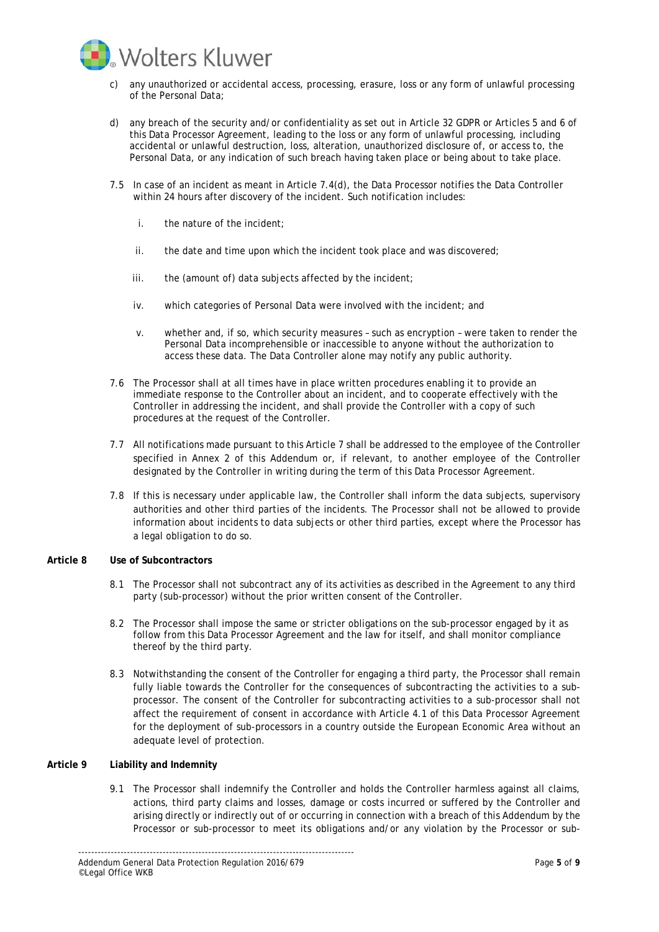

- c) any unauthorized or accidental access, processing, erasure, loss or any form of unlawful processing of the Personal Data;
- d) any breach of the security and/or confidentiality as set out in Article 32 GDPR or Articles 5 and 6 of this Data Processor Agreement, leading to the loss or any form of unlawful processing, including accidental or unlawful destruction, loss, alteration, unauthorized disclosure of, or access to, the Personal Data, or any indication of such breach having taken place or being about to take place.
- 7.5 In case of an incident as meant in Article 7.4(d), the Data Processor notifies the Data Controller within 24 hours after discovery of the incident. Such notification includes:
	- i. the nature of the incident;
	- ii. the date and time upon which the incident took place and was discovered;
	- iii. the (amount of) data subjects affected by the incident;
	- iv. which categories of Personal Data were involved with the incident; and
	- v. whether and, if so, which security measures such as encryption were taken to render the Personal Data incomprehensible or inaccessible to anyone without the authorization to access these data. The Data Controller alone may notify any public authority.
- 7.6 The Processor shall at all times have in place written procedures enabling it to provide an immediate response to the Controller about an incident, and to cooperate effectively with the Controller in addressing the incident, and shall provide the Controller with a copy of such procedures at the request of the Controller.
- 7.7 All notifications made pursuant to this Article 7 shall be addressed to the employee of the Controller specified in Annex 2 of this Addendum or, if relevant, to another employee of the Controller designated by the Controller in writing during the term of this Data Processor Agreement.
- 7.8 If this is necessary under applicable law, the Controller shall inform the data subjects, supervisory authorities and other third parties of the incidents. The Processor shall not be allowed to provide information about incidents to data subjects or other third parties, except where the Processor has a legal obligation to do so.

#### **Article 8 Use of Subcontractors**

- 8.1 The Processor shall not subcontract any of its activities as described in the Agreement to any third party (sub-processor) without the prior written consent of the Controller.
- 8.2 The Processor shall impose the same or stricter obligations on the sub-processor engaged by it as follow from this Data Processor Agreement and the law for itself, and shall monitor compliance thereof by the third party.
- 8.3 Notwithstanding the consent of the Controller for engaging a third party, the Processor shall remain fully liable towards the Controller for the consequences of subcontracting the activities to a subprocessor. The consent of the Controller for subcontracting activities to a sub-processor shall not affect the requirement of consent in accordance with Article 4.1 of this Data Processor Agreement for the deployment of sub-processors in a country outside the European Economic Area without an adequate level of protection.

# **Article 9 Liability and Indemnity**

9.1 The Processor shall indemnify the Controller and holds the Controller harmless against all claims, actions, third party claims and losses, damage or costs incurred or suffered by the Controller and arising directly or indirectly out of or occurring in connection with a breach of this Addendum by the Processor or sub-processor to meet its obligations and/or any violation by the Processor or sub-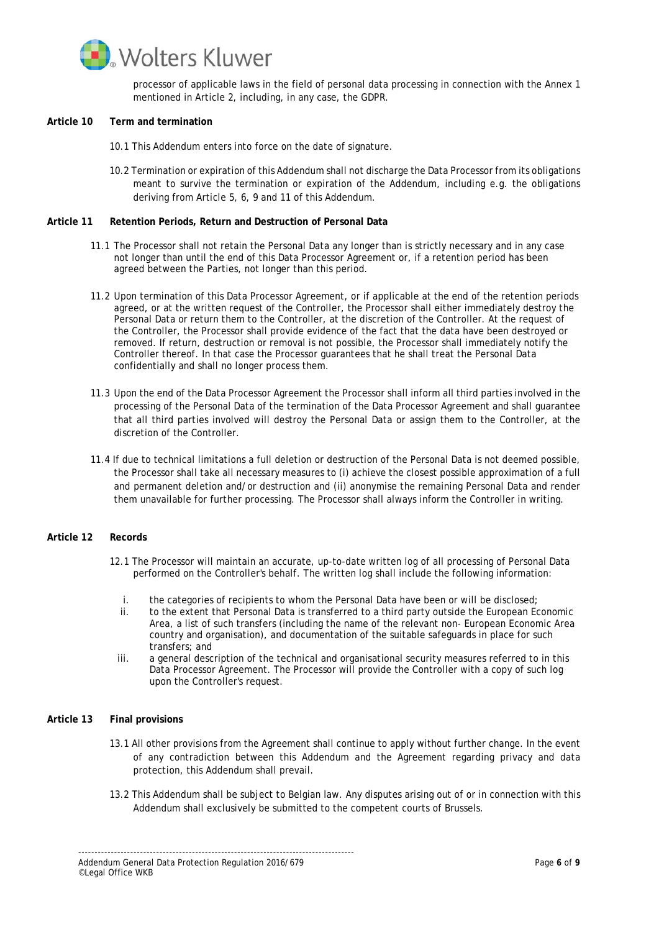

processor of applicable laws in the field of personal data processing in connection with the Annex 1 mentioned in Article 2, including, in any case, the GDPR.

### **Article 10 Term and termination**

- 10.1 This Addendum enters into force on the date of signature.
- 10.2 Termination or expiration of this Addendum shall not discharge the Data Processor from its obligations meant to survive the termination or expiration of the Addendum, including e.g. the obligations deriving from Article 5, 6, 9 and 11 of this Addendum.

### **Article 11 Retention Periods, Return and Destruction of Personal Data**

- 11.1 The Processor shall not retain the Personal Data any longer than is strictly necessary and in any case not longer than until the end of this Data Processor Agreement or, if a retention period has been agreed between the Parties, not longer than this period.
- 11.2 Upon termination of this Data Processor Agreement, or if applicable at the end of the retention periods agreed, or at the written request of the Controller, the Processor shall either immediately destroy the Personal Data or return them to the Controller, at the discretion of the Controller. At the request of the Controller, the Processor shall provide evidence of the fact that the data have been destroyed or removed. If return, destruction or removal is not possible, the Processor shall immediately notify the Controller thereof. In that case the Processor guarantees that he shall treat the Personal Data confidentially and shall no longer process them.
- 11.3 Upon the end of the Data Processor Agreement the Processor shall inform all third parties involved in the processing of the Personal Data of the termination of the Data Processor Agreement and shall guarantee that all third parties involved will destroy the Personal Data or assign them to the Controller, at the discretion of the Controller.
- 11.4 If due to technical limitations a full deletion or destruction of the Personal Data is not deemed possible, the Processor shall take all necessary measures to (i) achieve the closest possible approximation of a full and permanent deletion and/or destruction and (ii) anonymise the remaining Personal Data and render them unavailable for further processing. The Processor shall always inform the Controller in writing.

## **Article 12 Records**

- 12.1 The Processor will maintain an accurate, up-to-date written log of all processing of Personal Data performed on the Controller's behalf. The written log shall include the following information:
	- i. the categories of recipients to whom the Personal Data have been or will be disclosed;<br>ii. to the extent that Personal Data is transferred to a third party outside the European Ec
	- to the extent that Personal Data is transferred to a third party outside the European Economic Area, a list of such transfers (including the name of the relevant non- European Economic Area country and organisation), and documentation of the suitable safeguards in place for such transfers; and
	- iii. a general description of the technical and organisational security measures referred to in this Data Processor Agreement. The Processor will provide the Controller with a copy of such log upon the Controller's request.

# **Article 13 Final provisions**

- 13.1 All other provisions from the Agreement shall continue to apply without further change. In the event of any contradiction between this Addendum and the Agreement regarding privacy and data protection, this Addendum shall prevail.
- 13.2 This Addendum shall be subject to Belgian law. Any disputes arising out of or in connection with this Addendum shall exclusively be submitted to the competent courts of Brussels.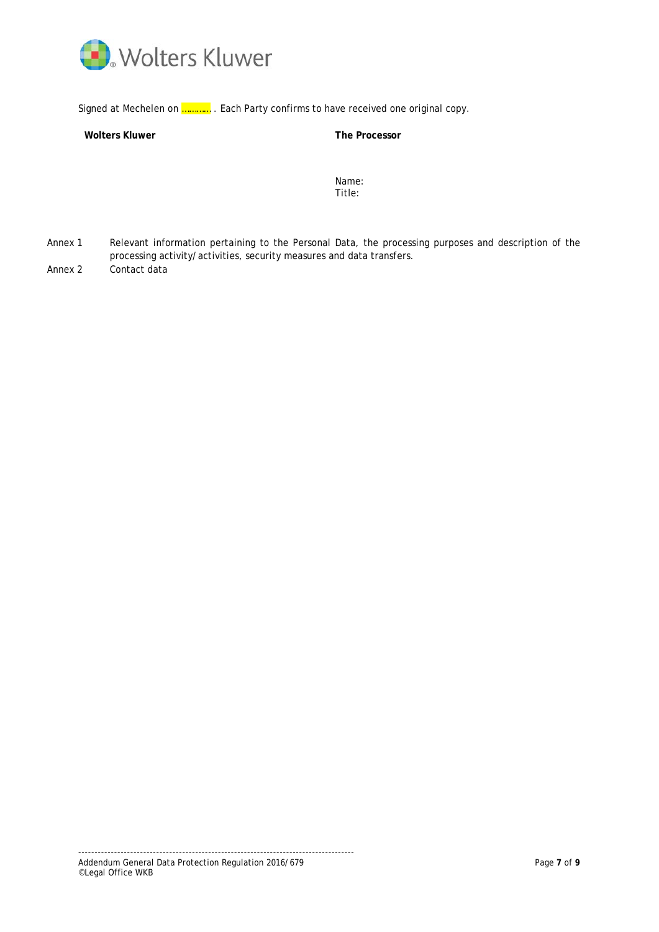

Signed at Mechelen on **............** . Each Party confirms to have received one original copy.

# **Wolters Kluwer The Processor**

Name: Title:

Annex 1 Relevant information pertaining to the Personal Data, the processing purposes and description of the processing activity/activities, security measures and data transfers. Annex 2 Contact data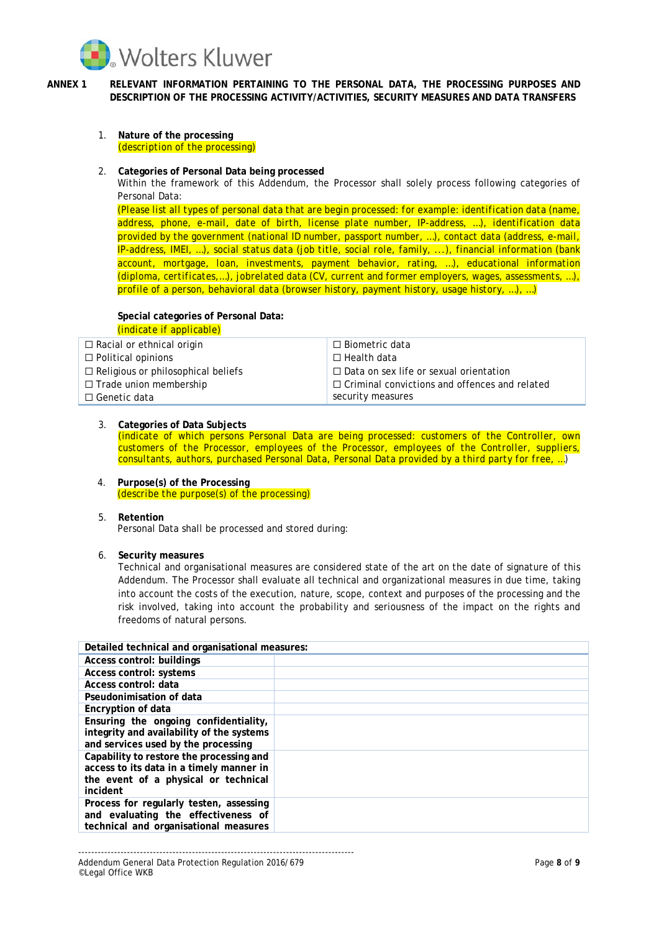

- **ANNEX 1 RELEVANT INFORMATION PERTAINING TO THE PERSONAL DATA, THE PROCESSING PURPOSES AND DESCRIPTION OF THE PROCESSING ACTIVITY/ACTIVITIES, SECURITY MEASURES AND DATA TRANSFERS**
	- 1. **Nature of the processing** *(description of the processing)*
	- 2. **Categories of Personal Data being processed**

Within the framework of this Addendum, the Processor shall solely process following categories of Personal Data:

*(Please list all types of personal data that are begin processed: for example: identification data (name, address, phone, e-mail, date of birth, license plate number, IP-address, …), identification data provided by the government (national ID number, passport number, …), contact data (address, e-mail, IP-address, IMEI, …), social status data (job title, social role, family, ...), financial information (bank account, mortgage, loan, investments, payment behavior, rating, …), educational information (diploma, certificates,…), jobrelated data (CV, current and former employers, wages, assessments, …), profile of a person, behavioral data (browser history, payment history, usage history, …), …)*

# **Special categories of Personal Data:** *(indicate if applicable)*

| $\Box$ Racial or ethnical origin          | $\Box$ Biometric data                                |
|-------------------------------------------|------------------------------------------------------|
| $\Box$ Political opinions                 | $\Box$ Health data                                   |
| $\Box$ Religious or philosophical beliefs | $\Box$ Data on sex life or sexual orientation        |
| $\Box$ Trade union membership             | $\Box$ Criminal convictions and offences and related |
| $\Box$ Genetic data                       | security measures                                    |
|                                           |                                                      |

# 3. **Categories of Data Subjects**

*(indicate of which persons Personal Data are being processed: customers of the Controller, own customers of the Processor, employees of the Processor, employees of the Controller, suppliers, consultants, authors, purchased Personal Data, Personal Data provided by a third party for free, …)*

- 4. **Purpose(s) of the Processing** *(describe the purpose(s) of the processing)*
- 5. **Retention**

Personal Data shall be processed and stored during:

6. **Security measures**

Technical and organisational measures are considered state of the art on the date of signature of this Addendum. The Processor shall evaluate all technical and organizational measures in due time, taking into account the costs of the execution, nature, scope, context and purposes of the processing and the risk involved, taking into account the probability and seriousness of the impact on the rights and freedoms of natural persons.

| Detailed technical and organisational measures:                                                                                          |  |  |
|------------------------------------------------------------------------------------------------------------------------------------------|--|--|
| Access control: buildings                                                                                                                |  |  |
| Access control: systems                                                                                                                  |  |  |
| Access control: data                                                                                                                     |  |  |
| Pseudonimisation of data                                                                                                                 |  |  |
| Encryption of data                                                                                                                       |  |  |
| Ensuring the ongoing confidentiality,<br>integrity and availability of the systems<br>and services used by the processing                |  |  |
| Capability to restore the processing and<br>access to its data in a timely manner in<br>the event of a physical or technical<br>incident |  |  |
| Process for regularly testen, assessing<br>and evaluating the effectiveness of<br>technical and organisational measures                  |  |  |